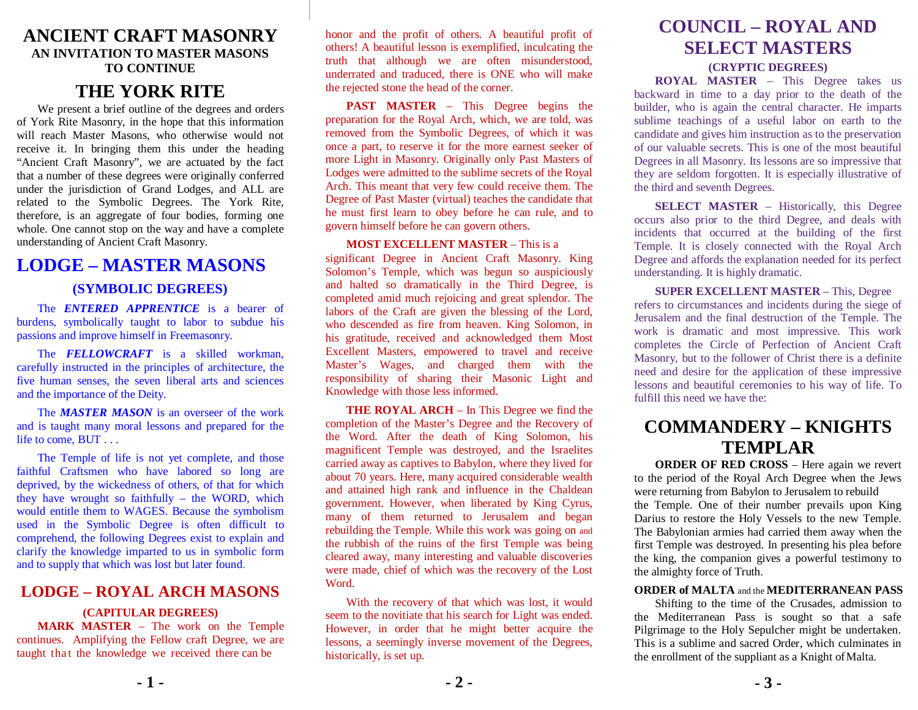## **ANCIENT CRAFT MASONRY AN INVITATION TO MASTER MASONS TO CONTINUE**

## **THE YORK RITE**

We present a brief outline of the degrees and orders of York Rite Masonry, in the hope that this information will reach Master Masons, who otherwise would not receive it. In bringing them this under the heading "Ancient Craft Masonry", we are actuated by the fact that a number of these degrees were originally conferred under the jurisdiction of Grand Lodges, and ALL are related to the Symbolic Degrees. The York Rite, therefore, is an aggregate of four bodies, forming one whole. One cannot stop on the way and have a complete understanding of Ancient Craft Masonry.

## **LODGE – MASTER MASONS**

### **(SYMBOLIC DEGREES)**

The *ENTERED APPRENTICE* is a bearer of burdens, symbolically taught to labor to subdue his passions and improve himself in Freemasonry.

The *FELLOWCRAFT* is a skilled workman, carefully instructed in the principles of architecture, the five human senses, the seven liberal arts and sciences and the importance of the Deity.

The *MASTER MASON* is an overseer of the work and is taught many moral lessons and prepared for the life to come, BUT . . .

The Temple of life is not yet complete, and those faithful Craftsmen who have labored so long are deprived, by the wickedness of others, of that for which they have wrought so faithfully – the WORD, which would entitle them to WAGES. Because the symbolism used in the Symbolic Degree is often difficult to comprehend, the following Degrees exist to explain and clarify the knowledge imparted to us in symbolic form and to supply that which was lost but later found.

### **LODGE – ROYAL ARCH MASONS**

### **(CAPITULAR DEGREES)**

**MARK MASTER** – The work on the Temple continues. Amplifying the Fellow craft Degree, we are taught that the knowledge we received there can be

honor and the profit of others. A beautiful profit of others! A beautiful lesson is exemplified, inculcating the truth that although we are often misunderstood, underrated and traduced, there is ONE who will make the rejected stone the head of the corner.

**PAST MASTER** – This Degree begins the preparation for the Royal Arch, which, we are told, was removed from the Symbolic Degrees, of which it was once a part, to reserve it for the more earnest seeker of more Light in Masonry. Originally only Past Masters of Lodges were admitted to the sublime secrets of the Royal Arch. This meant that very few could receive them. The Degree of Past Master (virtual) teaches the candidate that he must first learn to obey before he can rule, and to govern himself before he can govern others.

#### **MOST EXCELLENT MASTER** – This is a

significant Degree in Ancient Craft Masonry. King Solomon's Temple, which was begun so auspiciously and halted so dramatically in the Third Degree, is completed amid much rejoicing and great splendor. The labors of the Craft are given the blessing of the Lord, who descended as fire from heaven. King Solomon, in his gratitude, received and acknowledged them Most Excellent Masters, empowered to travel and receive Master's Wages, and charged them with the responsibility of sharing their Masonic Light and Knowledge with those less informed.

**THE ROYAL ARCH** – In This Degree we find the completion of the Master's Degree and the Recovery of the Word. After the death of King Solomon, his magnificent Temple was destroyed, and the Israelites carried away as captives to Babylon, where they lived for about 70 years. Here, many acquired considerable wealth and attained high rank and influence in the Chaldean government. However, when liberated by King Cyrus, many of them returned to Jerusalem and began rebuilding the Temple. While this work was going on and the rubbish of the ruins of the first Temple was being cleared away, many interesting and valuable discoveries were made, chief of which was the recovery of the Lost Word.

With the recovery of that which was lost, it would seem to the novitiate that his search for Light was ended. However, in order that he might better acquire the lessons, a seemingly inverse movement of the Degrees, historically, is set up.

## **COUNCIL – ROYAL AND SELECT MASTERS**

#### **(CRYPTIC DEGREES)**

**ROYAL MASTER** – This Degree takes us backward in time to a day prior to the death of the builder, who is again the central character. He imparts sublime teachings of a useful labor on earth to the candidate and gives him instruction as to the preservation of our valuable secrets. This is one of the most beautiful Degrees in all Masonry. Its lessons are so impressive that they are seldom forgotten. It is especially illustrative of the third and seventh Degrees.

**SELECT MASTER** – Historically, this Degree occurs also prior to the third Degree, and deals with incidents that occurred at the building of the first Temple. It is closely connected with the Royal Arch Degree and affords the explanation needed for its perfect understanding. It is highly dramatic.

**SUPER EXCELLENT MASTER** – This, Degree refers to circumstances and incidents during the siege of Jerusalem and the final destruction of the Temple. The work is dramatic and most impressive. This work completes the Circle of Perfection of Ancient Craft Masonry, but to the follower of Christ there is a definite need and desire for the application of these impressive lessons and beautiful ceremonies to his way of life. To fulfill this need we have the:

## **COMMANDERY – KNIGHTS TEMPLAR**

**ORDER OF RED CROSS** – Here again we revert to the period of the Royal Arch Degree when the Jews were returning from Babylon to Jerusalem to rebuild the Temple. One of their number prevails upon King Darius to restore the Holy Vessels to the new Temple. The Babylonian armies had carried them away when the first Temple was destroyed. In presenting his plea before the king, the companion gives a powerful testimony to the almighty force of Truth.

### **ORDER of MALTA** and the **MEDITERRANEAN PASS**

Shifting to the time of the Crusades, admission to the Mediterranean Pass is sought so that a safe Pilgrimage to the Holy Sepulcher might be undertaken. This is a sublime and sacred Order, which culminates in the enrollment of the suppliant as a Knight of Malta.